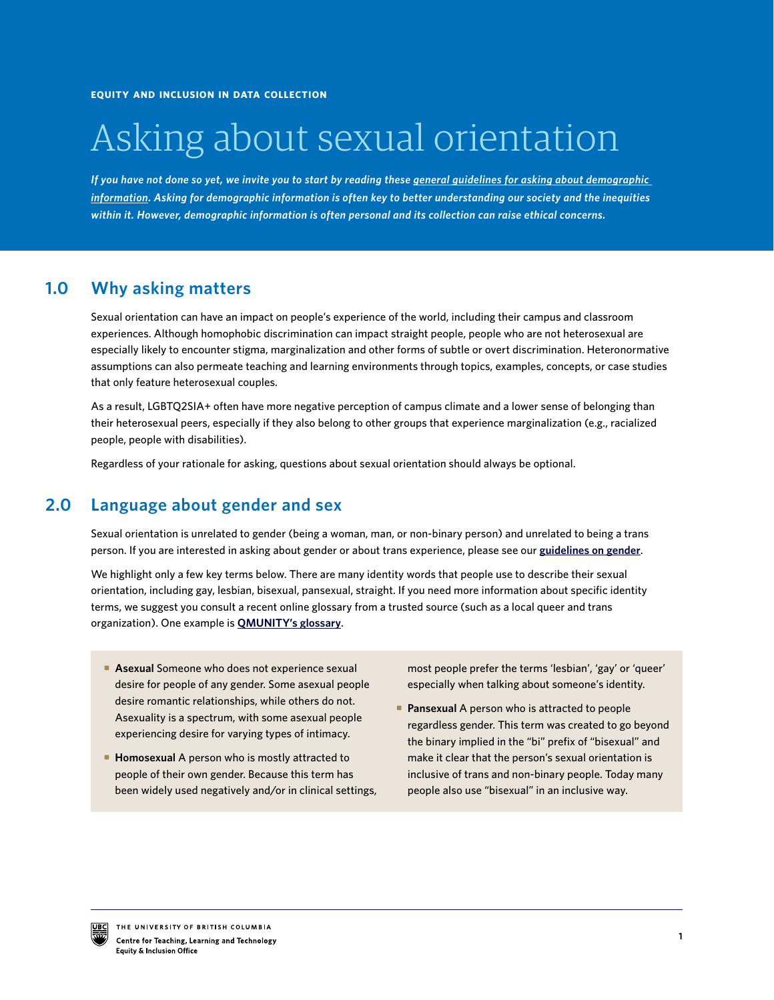# Asking about sexual orientation

*If you have not done so yet, we invite you to start by reading these [general guidelines for asking about demographic](https://isotl.sites.olt.ubc.ca/files/2019/03/eio-general_guidelines.pdf)  [information](https://isotl.sites.olt.ubc.ca/files/2019/03/eio-general_guidelines.pdf). Asking for demographic information is often key to better understanding our society and the inequities within it. However, demographic information is often personal and its collection can raise ethical concerns.* 

#### **Why asking matters 1.0**

Sexual orientation can have an impact on people's experience of the world, including their campus and classroom experiences. Although homophobic discrimination can impact straight people, people who are not heterosexual are especially likely to encounter stigma, marginalization and other forms of subtle or overt discrimination. Heteronormative assumptions can also permeate teaching and learning environments through topics, examples, concepts, or case studies that only feature heterosexual couples.

As a result, LGBTQ2SIA+ often have more negative perception of campus climate and a lower sense of belonging than their heterosexual peers, especially if they also belong to other groups that experience marginalization (e.g., racialized people, people with disabilities).

Regardless of your rationale for asking, questions about sexual orientation should always be optional.

#### **2.0 Language about gender and sex**

Sexual orientation is unrelated to gender (being a woman, man, or non-binary person) and unrelated to being a trans person. If you are interested in asking about gender or about trans experience, please see our **[guidelines on gender](https://isotl.sites.olt.ubc.ca/files/2019/03/eio-gender_guidelines.pdf)**.

We highlight only a few key terms below. There are many identity words that people use to describe their sexual orientation, including gay, lesbian, bisexual, pansexual, straight. If you need more information about specific identity terms, we suggest you consult a recent online glossary from a trusted source (such as a local queer and trans organization). One example is **[QMUNITY's glossary](https://qmunity.ca/resources/queer-glossary/)**.

- **Asexual** Someone who does not experience sexual desire for people of any gender. Some asexual people desire romantic relationships, while others do not. Asexuality is a spectrum, with some asexual people experiencing desire for varying types of intimacy.
- **Homosexual A person who is mostly attracted to** people of their own gender. Because this term has been widely used negatively and/or in clinical settings,

most people prefer the terms 'lesbian', 'gay' or 'queer' especially when talking about someone's identity.

**Pansexual A person who is attracted to people** regardless gender. This term was created to go beyond the binary implied in the "bi" prefix of "bisexual" and make it clear that the person's sexual orientation is inclusive of trans and non-binary people. Today many people also use "bisexual" in an inclusive way.

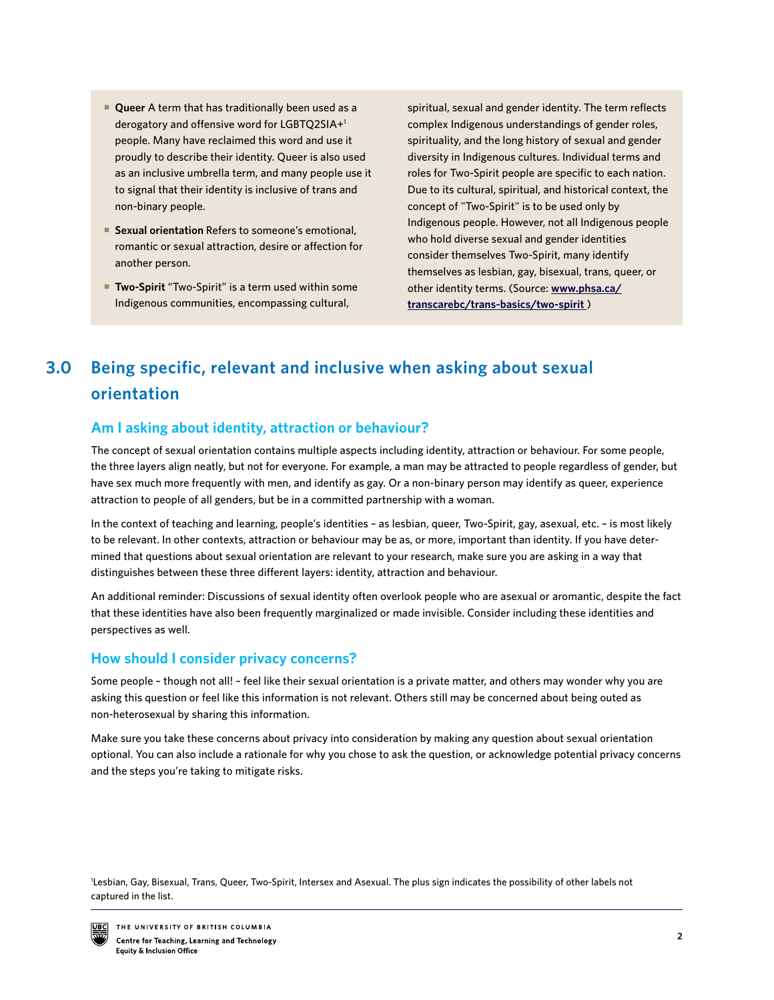- **Queer** A term that has traditionally been used as a derogatory and offensive word for LGBTQ2SIA+1 people. Many have reclaimed this word and use it proudly to describe their identity. Queer is also used as an inclusive umbrella term, and many people use it to signal that their identity is inclusive of trans and non-binary people.
- **Sexual orientation** Refers to someone's emotional, romantic or sexual attraction, desire or affection for another person.
- **Two-Spirit** "Two-Spirit" is a term used within some Indigenous communities, encompassing cultural,

spiritual, sexual and gender identity. The term reflects complex Indigenous understandings of gender roles, spirituality, and the long history of sexual and gender diversity in Indigenous cultures. Individual terms and roles for Two-Spirit people are specific to each nation. Due to its cultural, spiritual, and historical context, the concept of "Two-Spirit" is to be used only by Indigenous people. However, not all Indigenous people who hold diverse sexual and gender identities consider themselves Two-Spirit, many identify themselves as lesbian, gay, bisexual, trans, queer, or other identity terms. (Source: **[www.phsa.ca/](http://www.phsa.ca/transcarebc/trans-basics/two-spirit) [transcarebc/trans-basics/two-spirit](http://www.phsa.ca/transcarebc/trans-basics/two-spirit)** )

## **Being specific, relevant and inclusive when asking about sexual orientation 3.0**

# **Am I asking about identity, attraction or behaviour?**

The concept of sexual orientation contains multiple aspects including identity, attraction or behaviour. For some people, the three layers align neatly, but not for everyone. For example, a man may be attracted to people regardless of gender, but have sex much more frequently with men, and identify as gay. Or a non-binary person may identify as queer, experience attraction to people of all genders, but be in a committed partnership with a woman.

In the context of teaching and learning, people's identities – as lesbian, queer, Two-Spirit, gay, asexual, etc. – is most likely to be relevant. In other contexts, attraction or behaviour may be as, or more, important than identity. If you have determined that questions about sexual orientation are relevant to your research, make sure you are asking in a way that distinguishes between these three different layers: identity, attraction and behaviour.

An additional reminder: Discussions of sexual identity often overlook people who are asexual or aromantic, despite the fact that these identities have also been frequently marginalized or made invisible. Consider including these identities and perspectives as well.

## **How should I consider privacy concerns?**

Some people – though not all! – feel like their sexual orientation is a private matter, and others may wonder why you are asking this question or feel like this information is not relevant. Others still may be concerned about being outed as non-heterosexual by sharing this information.

Make sure you take these concerns about privacy into consideration by making any question about sexual orientation optional. You can also include a rationale for why you chose to ask the question, or acknowledge potential privacy concerns and the steps you're taking to mitigate risks.

1 Lesbian, Gay, Bisexual, Trans, Queer, Two-Spirit, Intersex and Asexual. The plus sign indicates the possibility of other labels not captured in the list.

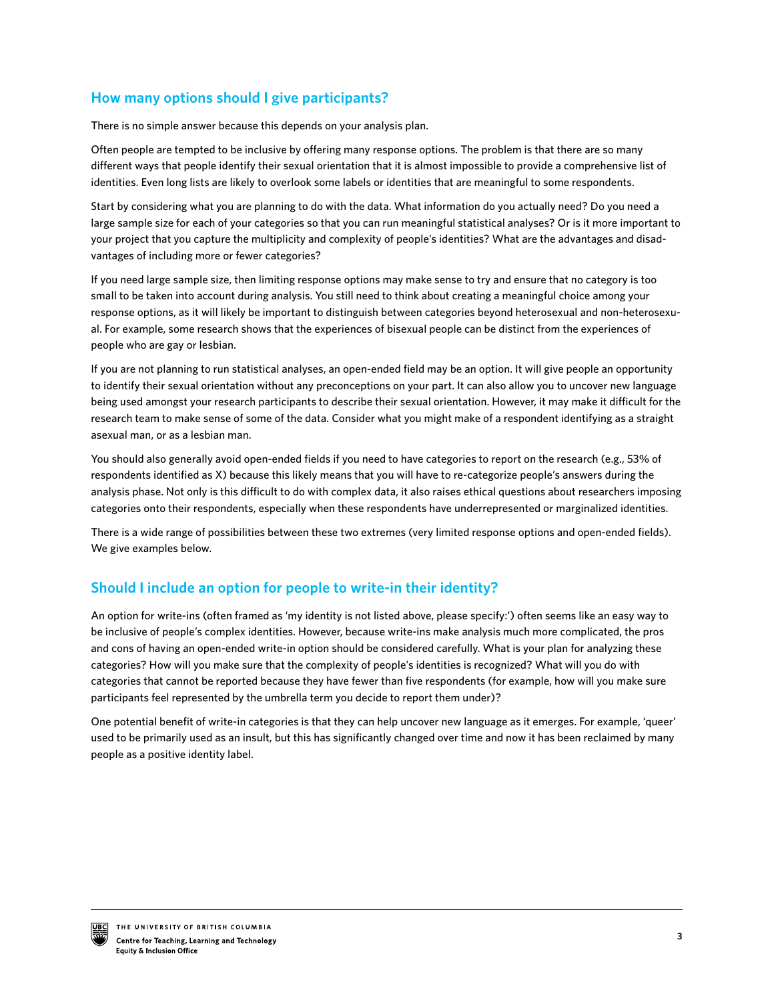# **How many options should I give participants?**

There is no simple answer because this depends on your analysis plan.

Often people are tempted to be inclusive by offering many response options. The problem is that there are so many different ways that people identify their sexual orientation that it is almost impossible to provide a comprehensive list of identities. Even long lists are likely to overlook some labels or identities that are meaningful to some respondents.

Start by considering what you are planning to do with the data. What information do you actually need? Do you need a large sample size for each of your categories so that you can run meaningful statistical analyses? Or is it more important to your project that you capture the multiplicity and complexity of people's identities? What are the advantages and disadvantages of including more or fewer categories?

If you need large sample size, then limiting response options may make sense to try and ensure that no category is too small to be taken into account during analysis. You still need to think about creating a meaningful choice among your response options, as it will likely be important to distinguish between categories beyond heterosexual and non-heterosexual. For example, some research shows that the experiences of bisexual people can be distinct from the experiences of people who are gay or lesbian.

If you are not planning to run statistical analyses, an open-ended field may be an option. It will give people an opportunity to identify their sexual orientation without any preconceptions on your part. It can also allow you to uncover new language being used amongst your research participants to describe their sexual orientation. However, it may make it difficult for the research team to make sense of some of the data. Consider what you might make of a respondent identifying as a straight asexual man, or as a lesbian man.

You should also generally avoid open-ended fields if you need to have categories to report on the research (e.g., 53% of respondents identified as X) because this likely means that you will have to re-categorize people's answers during the analysis phase. Not only is this difficult to do with complex data, it also raises ethical questions about researchers imposing categories onto their respondents, especially when these respondents have underrepresented or marginalized identities.

There is a wide range of possibilities between these two extremes (very limited response options and open-ended fields). We give examples below.

# **Should I include an option for people to write-in their identity?**

An option for write-ins (often framed as 'my identity is not listed above, please specify:') often seems like an easy way to be inclusive of people's complex identities. However, because write-ins make analysis much more complicated, the pros and cons of having an open-ended write-in option should be considered carefully. What is your plan for analyzing these categories? How will you make sure that the complexity of people's identities is recognized? What will you do with categories that cannot be reported because they have fewer than five respondents (for example, how will you make sure participants feel represented by the umbrella term you decide to report them under)?

One potential benefit of write-in categories is that they can help uncover new language as it emerges. For example, 'queer' used to be primarily used as an insult, but this has significantly changed over time and now it has been reclaimed by many people as a positive identity label.

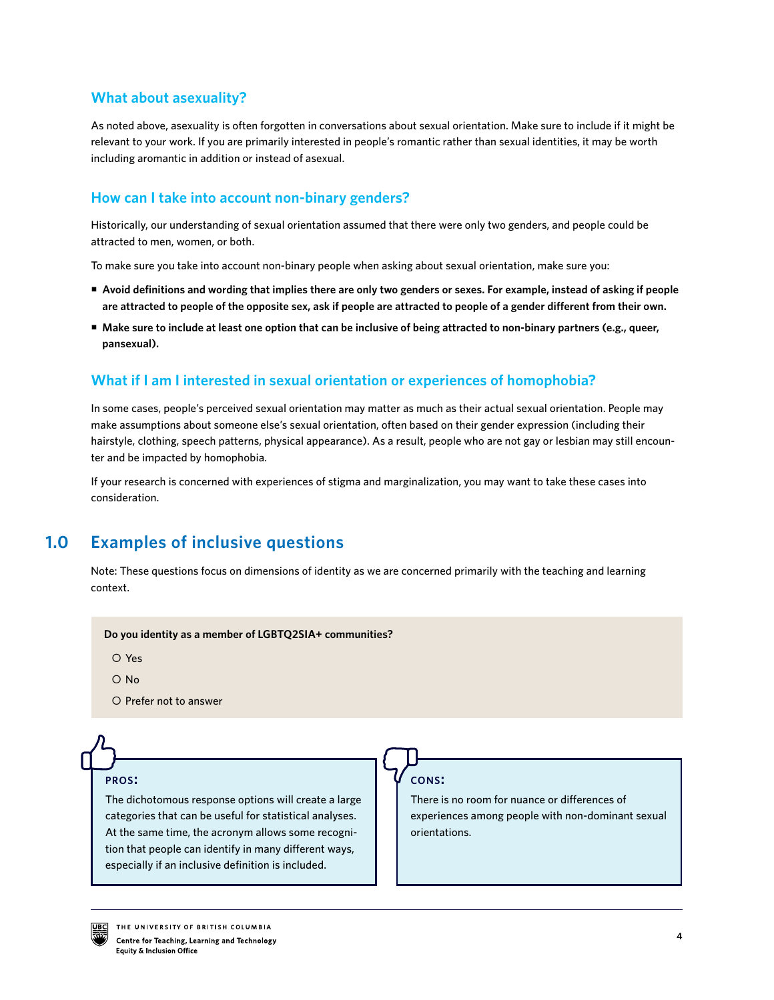## **What about asexuality?**

As noted above, asexuality is often forgotten in conversations about sexual orientation. Make sure to include if it might be relevant to your work. If you are primarily interested in people's romantic rather than sexual identities, it may be worth including aromantic in addition or instead of asexual.

## **How can I take into account non-binary genders?**

Historically, our understanding of sexual orientation assumed that there were only two genders, and people could be attracted to men, women, or both.

To make sure you take into account non-binary people when asking about sexual orientation, make sure you:

- **Avoid definitions and wording that implies there are only two genders or sexes. For example, instead of asking if people are attracted to people of the opposite sex, ask if people are attracted to people of a gender different from their own.**
- **Make sure to include at least one option that can be inclusive of being attracted to non-binary partners (e.g., queer, pansexual).**

# **What if I am I interested in sexual orientation or experiences of homophobia?**

In some cases, people's perceived sexual orientation may matter as much as their actual sexual orientation. People may make assumptions about someone else's sexual orientation, often based on their gender expression (including their hairstyle, clothing, speech patterns, physical appearance). As a result, people who are not gay or lesbian may still encounter and be impacted by homophobia.

If your research is concerned with experiences of stigma and marginalization, you may want to take these cases into consideration.

#### **Examples of inclusive questions 1.0**

Note: These questions focus on dimensions of identity as we are concerned primarily with the teaching and learning context.

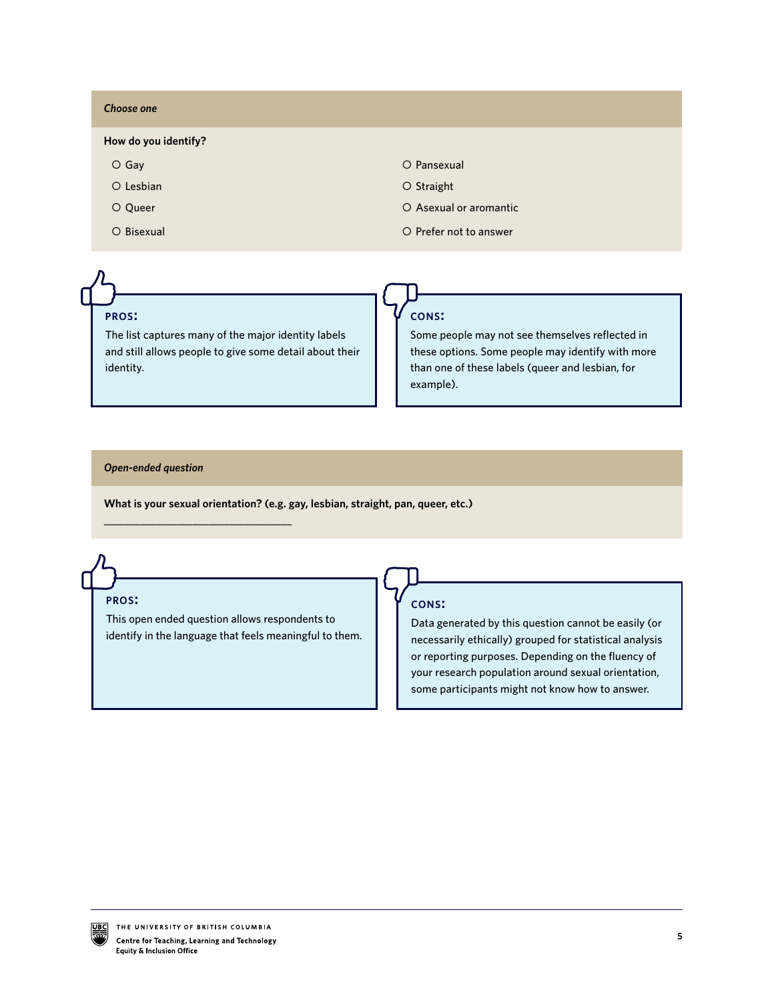| <b>Choose one</b>    |                        |
|----------------------|------------------------|
| How do you identify? |                        |
| $O$ Gay              | O Pansexual            |
| $O$ Lesbian          | O Straight             |
| O Queer              | O Asexual or aromantic |
| O Bisexual           | O Prefer not to answer |

### **pros:**

The list captures many of the major identity labels and still allows people to give some detail about their identity.

#### **cons:**

Some people may not see themselves reflected in these options. Some people may identify with more than one of these labels (queer and lesbian, for example).

#### *Open-ended question*

\_\_\_\_\_\_\_\_\_\_\_\_\_\_\_\_\_\_\_\_\_\_\_\_\_\_\_\_\_\_\_\_\_\_\_\_

**What is your sexual orientation? (e.g. gay, lesbian, straight, pan, queer, etc.)**

**pros:**

This open ended question allows respondents to identify in the language that feels meaningful to them.

### **cons:**

Data generated by this question cannot be easily (or necessarily ethically) grouped for statistical analysis or reporting purposes. Depending on the fluency of your research population around sexual orientation, some participants might not know how to answer.